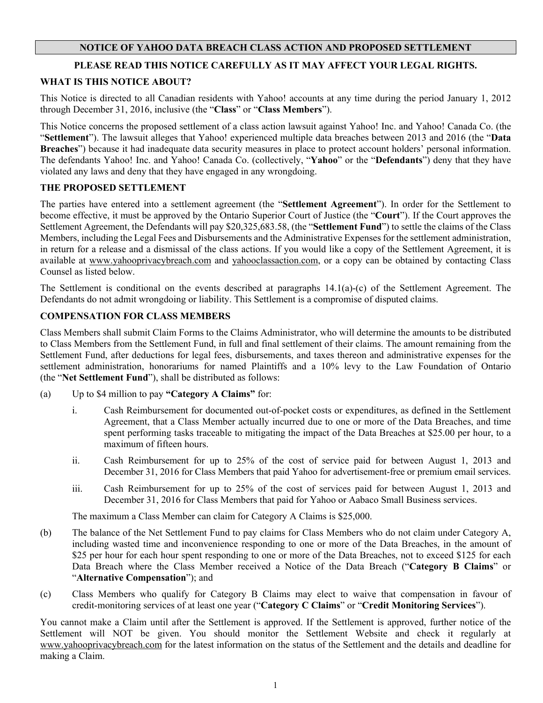# **NOTICE OF YAHOO DATA BREACH CLASS ACTION AND PROPOSED SETTLEMENT**

# **PLEASE READ THIS NOTICE CAREFULLY AS IT MAY AFFECT YOUR LEGAL RIGHTS.**

## **WHAT IS THIS NOTICE ABOUT?**

This Notice is directed to all Canadian residents with Yahoo! accounts at any time during the period January 1, 2012 through December 31, 2016, inclusive (the "**Class**" or "**Class Members**").

This Notice concerns the proposed settlement of a class action lawsuit against Yahoo! Inc. and Yahoo! Canada Co. (the "**Settlement**"). The lawsuit alleges that Yahoo! experienced multiple data breaches between 2013 and 2016 (the "**Data Breaches**") because it had inadequate data security measures in place to protect account holders' personal information. The defendants Yahoo! Inc. and Yahoo! Canada Co. (collectively, "**Yahoo**" or the "**Defendants**") deny that they have violated any laws and deny that they have engaged in any wrongdoing.

## **THE PROPOSED SETTLEMENT**

The parties have entered into a settlement agreement (the "**Settlement Agreement**"). In order for the Settlement to become effective, it must be approved by the Ontario Superior Court of Justice (the "**Court**"). If the Court approves the Settlement Agreement, the Defendants will pay \$20,325,683.58, (the "**Settlement Fund**") to settle the claims of the Class Members, including the Legal Fees and Disbursements and the Administrative Expenses for the settlement administration, in return for a release and a dismissal of the class actions. If you would like a copy of the Settlement Agreement, it is available at [www.yahooprivacybreach.com](http://www.yahooprivacybreach.com/) and yahooclassaction.com, or a copy can be obtained by contacting Class Counsel as listed below.

The Settlement is conditional on the events described at paragraphs 14.1(a)-(c) of the Settlement Agreement. The Defendants do not admit wrongdoing or liability. This Settlement is a compromise of disputed claims.

## **COMPENSATION FOR CLASS MEMBERS**

Class Members shall submit Claim Forms to the Claims Administrator, who will determine the amounts to be distributed to Class Members from the Settlement Fund, in full and final settlement of their claims. The amount remaining from the Settlement Fund, after deductions for legal fees, disbursements, and taxes thereon and administrative expenses for the settlement administration, honorariums for named Plaintiffs and a 10% levy to the Law Foundation of Ontario (the "**Net Settlement Fund**"), shall be distributed as follows:

- (a) Up to \$4 million to pay **"Category A Claims"** for:
	- i. Cash Reimbursement for documented out-of-pocket costs or expenditures, as defined in the Settlement Agreement, that a Class Member actually incurred due to one or more of the Data Breaches, and time spent performing tasks traceable to mitigating the impact of the Data Breaches at \$25.00 per hour, to a maximum of fifteen hours.
	- ii. Cash Reimbursement for up to 25% of the cost of service paid for between August 1, 2013 and December 31, 2016 for Class Members that paid Yahoo for advertisement-free or premium email services.
	- iii. Cash Reimbursement for up to 25% of the cost of services paid for between August 1, 2013 and December 31, 2016 for Class Members that paid for Yahoo or Aabaco Small Business services.

The maximum a Class Member can claim for Category A Claims is \$25,000.

- (b) The balance of the Net Settlement Fund to pay claims for Class Members who do not claim under Category A, including wasted time and inconvenience responding to one or more of the Data Breaches, in the amount of \$25 per hour for each hour spent responding to one or more of the Data Breaches, not to exceed \$125 for each Data Breach where the Class Member received a Notice of the Data Breach ("**Category B Claims**" or "**Alternative Compensation**"); and
- (c) Class Members who qualify for Category B Claims may elect to waive that compensation in favour of credit-monitoring services of at least one year ("**Category C Claims**" or "**Credit Monitoring Services**").

You cannot make a Claim until after the Settlement is approved. If the Settlement is approved, further notice of the Settlement will NOT be given. You should monitor the Settlement Website and check it regularly at [www.yahooprivacybreach.com](http://www.yahooprivacybreach.com/) for the latest information on the status of the Settlement and the details and deadline for making a Claim.